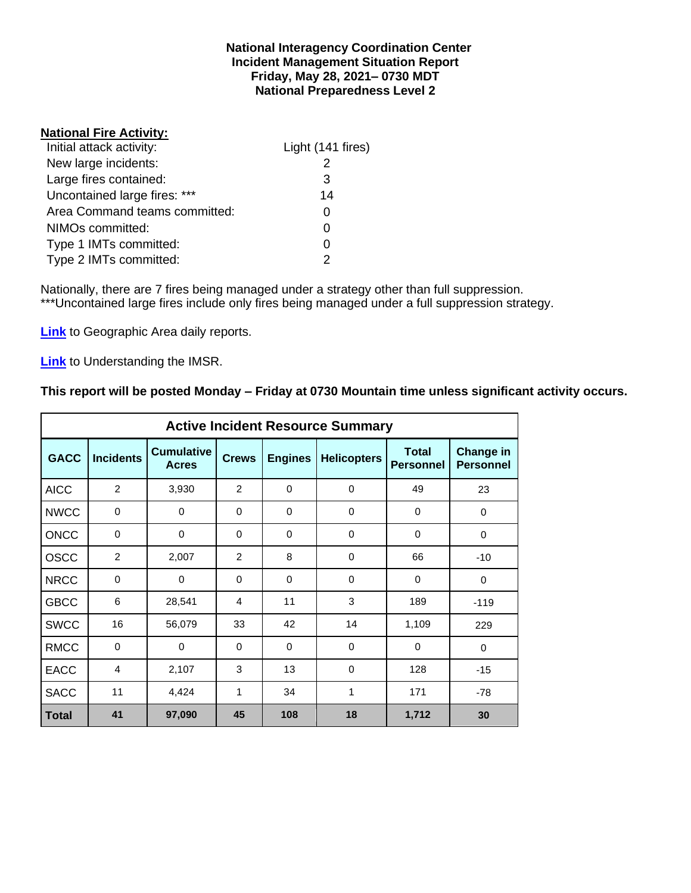## **National Interagency Coordination Center Incident Management Situation Report Friday, May 28, 2021– 0730 MDT National Preparedness Level 2**

## **National Fire Activity:**

| Light (141 fires) |
|-------------------|
|                   |
| 3                 |
| 14                |
|                   |
|                   |
|                   |
|                   |
|                   |

Nationally, there are 7 fires being managed under a strategy other than full suppression. \*\*\*Uncontained large fires include only fires being managed under a full suppression strategy.

**[Link](http://www.nifc.gov/nicc/predictive/statelinks.htm)** to Geographic Area daily reports.

**[Link](https://www.predictiveservices.nifc.gov/intelligence/Understanding%20the%20IMSR%202019.pdf)** to Understanding the IMSR.

# **This report will be posted Monday – Friday at 0730 Mountain time unless significant activity occurs.**

|              |                  |                                   |              |                      | <b>Active Incident Resource Summary</b> |                                  |                                      |
|--------------|------------------|-----------------------------------|--------------|----------------------|-----------------------------------------|----------------------------------|--------------------------------------|
| <b>GACC</b>  | <b>Incidents</b> | <b>Cumulative</b><br><b>Acres</b> | <b>Crews</b> | <b>Engines</b>       | <b>Helicopters</b>                      | <b>Total</b><br><b>Personnel</b> | <b>Change in</b><br><b>Personnel</b> |
| <b>AICC</b>  | $\overline{2}$   | 3,930                             | 2            | $\Omega$             | $\mathbf 0$                             | 49                               | 23                                   |
| <b>NWCC</b>  | 0                | 0                                 | 0            | $\mathbf 0$          | 0                                       | 0                                | 0                                    |
| <b>ONCC</b>  | 0                | 0                                 | $\Omega$     | $\Omega$<br>$\Omega$ |                                         | $\Omega$                         | $\Omega$                             |
| <b>OSCC</b>  | $\overline{2}$   | 2,007                             | 2            | 8                    | $\mathbf 0$                             | 66                               | $-10$                                |
| <b>NRCC</b>  | 0                | 0                                 | 0            | $\mathbf 0$          | 0                                       | 0                                | $\mathbf 0$                          |
| <b>GBCC</b>  | 6                | 28,541                            | 4            | 11                   | 3                                       | 189                              | $-119$                               |
| <b>SWCC</b>  | 16               | 56,079                            | 33           | 42                   | 14                                      | 1,109                            | 229                                  |
| <b>RMCC</b>  | $\mathbf 0$      | 0                                 | $\Omega$     | $\Omega$             | $\Omega$                                | $\Omega$                         | $\Omega$                             |
| <b>EACC</b>  | 4                | 2,107                             | 3            | 13                   | $\Omega$                                | 128                              | $-15$                                |
| <b>SACC</b>  | 11               | 4,424                             | 1            | 34                   | 1                                       | 171                              | $-78$                                |
| <b>Total</b> | 41               | 97,090                            | 45           | 108                  | 18                                      | 1,712                            | 30                                   |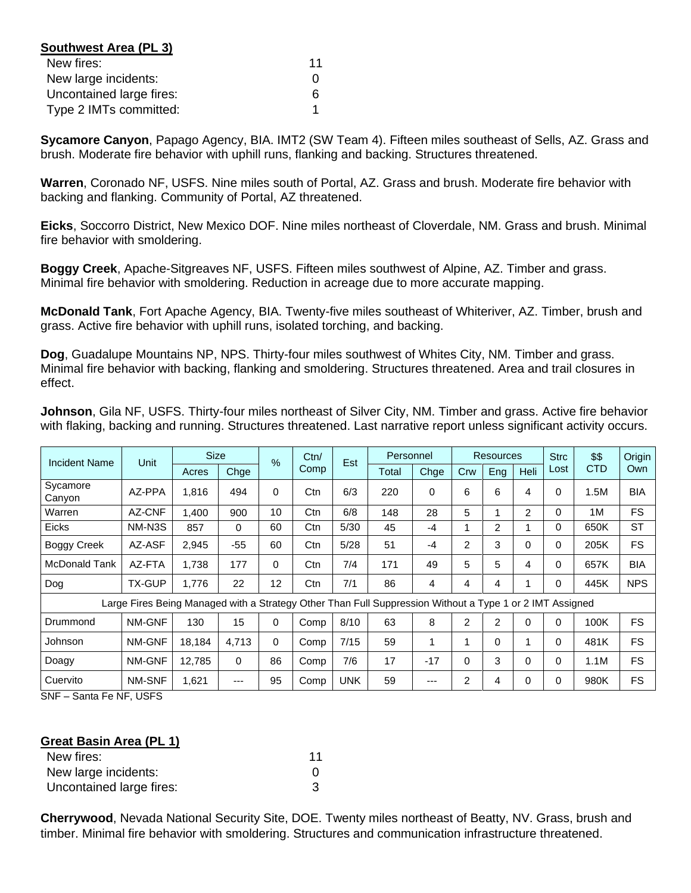| Southwest Area (PL 3)    |    |
|--------------------------|----|
| New fires:               | 11 |
| New large incidents:     |    |
| Uncontained large fires: |    |
| Type 2 IMTs committed:   |    |

**Sycamore Canyon**, Papago Agency, BIA. IMT2 (SW Team 4). Fifteen miles southeast of Sells, AZ. Grass and brush. Moderate fire behavior with uphill runs, flanking and backing. Structures threatened.

**Warren**, Coronado NF, USFS. Nine miles south of Portal, AZ. Grass and brush. Moderate fire behavior with backing and flanking. Community of Portal, AZ threatened.

**Eicks**, Soccorro District, New Mexico DOF. Nine miles northeast of Cloverdale, NM. Grass and brush. Minimal fire behavior with smoldering.

**Boggy Creek**, Apache-Sitgreaves NF, USFS. Fifteen miles southwest of Alpine, AZ. Timber and grass. Minimal fire behavior with smoldering. Reduction in acreage due to more accurate mapping.

**McDonald Tank**, Fort Apache Agency, BIA. Twenty-five miles southeast of Whiteriver, AZ. Timber, brush and grass. Active fire behavior with uphill runs, isolated torching, and backing.

**Dog**, Guadalupe Mountains NP, NPS. Thirty-four miles southwest of Whites City, NM. Timber and grass. Minimal fire behavior with backing, flanking and smoldering. Structures threatened. Area and trail closures in effect.

**Johnson**, Gila NF, USFS. Thirty-four miles northeast of Silver City, NM. Timber and grass. Active fire behavior with flaking, backing and running. Structures threatened. Last narrative report unless significant activity occurs.

| Incident Name      | Unit                                                                                                     | <b>Size</b> |       | $\frac{9}{6}$ | Ctn/ | Est        | Personnel |       |     | <b>Resources</b> |          | <b>Strc</b> | \$\$       | Origin     |
|--------------------|----------------------------------------------------------------------------------------------------------|-------------|-------|---------------|------|------------|-----------|-------|-----|------------------|----------|-------------|------------|------------|
|                    |                                                                                                          | Acres       | Chge  |               | Comp |            | Total     | Chge  | Crw | Eng              | Heli     | Lost        | <b>CTD</b> | Own        |
| Sycamore<br>Canyon | AZ-PPA                                                                                                   | 1,816       | 494   | $\Omega$      | Ctn  | 6/3        | 220       | 0     | 6   | 6                | 4        | 0           | 1.5M       | <b>BIA</b> |
| Warren             | AZ-CNF                                                                                                   | 1,400       | 900   | 10            | Ctn  | 6/8        | 148       | 28    | 5   | 1                | 2        | 0           | 1M         | <b>FS</b>  |
| <b>Eicks</b>       | NM-N3S                                                                                                   | 857         | 0     | 60            | Ctn  | 5/30       | 45        | $-4$  |     | 2                |          | 0           | 650K       | <b>ST</b>  |
| <b>Boggy Creek</b> | AZ-ASF                                                                                                   | 2,945       | $-55$ | 60            | Ctn  | 5/28       | 51        | $-4$  | 2   | 3                | $\Omega$ | 0           | 205K       | FS.        |
| McDonald Tank      | AZ-FTA                                                                                                   | 1,738       | 177   | $\Omega$      | Ctn  | 7/4        | 171       | 49    | 5   | 5                | 4        | 0           | 657K       | <b>BIA</b> |
| Dog                | <b>TX-GUP</b>                                                                                            | 1,776       | 22    | 12            | Ctn  | 7/1        | 86        | 4     | 4   | 4                |          | 0           | 445K       | <b>NPS</b> |
|                    | Large Fires Being Managed with a Strategy Other Than Full Suppression Without a Type 1 or 2 IMT Assigned |             |       |               |      |            |           |       |     |                  |          |             |            |            |
| Drummond           | NM-GNF                                                                                                   | 130         | 15    | $\Omega$      | Comp | 8/10       | 63        | 8     | 2   | $\overline{2}$   | $\Omega$ | 0           | 100K       | <b>FS</b>  |
| Johnson            | NM-GNF                                                                                                   | 18,184      | 4,713 | $\Omega$      | Comp | 7/15       | 59        | 1     |     | 0                |          | 0           | 481K       | <b>FS</b>  |
| Doagy              | NM-GNF                                                                                                   | 12,785      | 0     | 86            | Comp | 7/6        | 17        | $-17$ | 0   | 3                | 0        | 0           | 1.1M       | <b>FS</b>  |
| Cuervito           | NM-SNF                                                                                                   | 1,621       | ---   | 95            | Comp | <b>UNK</b> | 59        | ---   | 2   | 4                | 0        | 0           | 980K       | <b>FS</b>  |

SNF – Santa Fe NF, USFS

#### **Great Basin Area (PL 1)**

| New fires:               | 11 |
|--------------------------|----|
| New large incidents:     |    |
| Uncontained large fires: |    |

**Cherrywood**, Nevada National Security Site, DOE. Twenty miles northeast of Beatty, NV. Grass, brush and timber. Minimal fire behavior with smoldering. Structures and communication infrastructure threatened.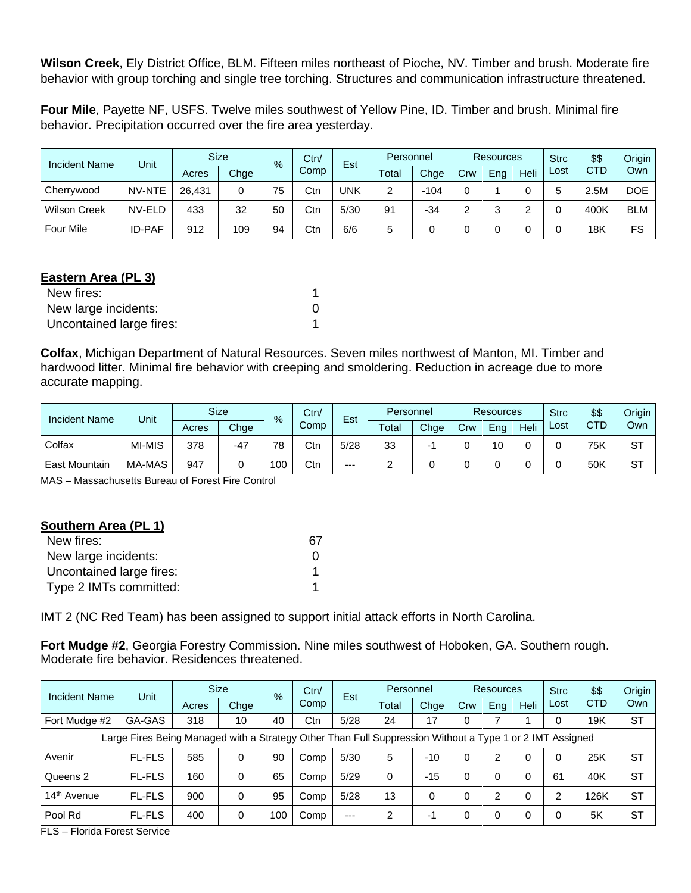**Wilson Creek**, Ely District Office, BLM. Fifteen miles northeast of Pioche, NV. Timber and brush. Moderate fire behavior with group torching and single tree torching. Structures and communication infrastructure threatened.

**Four Mile**, Payette NF, USFS. Twelve miles southwest of Yellow Pine, ID. Timber and brush. Minimal fire behavior. Precipitation occurred over the fire area yesterday.

| <b>Incident Name</b> | Unit          |        | <b>Size</b> | $\%$ | Ctn/ | Est  |       | Personnel |     | <b>Resources</b> |      |      | \$\$       | Origin     |
|----------------------|---------------|--------|-------------|------|------|------|-------|-----------|-----|------------------|------|------|------------|------------|
|                      |               | Acres  | Chge        |      | Comp |      | Total | Chge      | Crw | Eng              | Heli | Lost | <b>CTD</b> | Own        |
| Cherrywood           | NV-NTE        | 26.431 | 0           | 75   | Ctn  | UNK  | 2     | $-104$    |     |                  |      |      | 2.5M       | <b>DOE</b> |
| <b>Wilson Creek</b>  | NV-ELD        | 433    | 32          | 50   | Ctn  | 5/30 | 91    | $-34$     | ◠   |                  |      |      | 400K       | <b>BLM</b> |
| <b>Four Mile</b>     | <b>ID-PAF</b> | 912    | 109         | 94   | Ctn  | 6/6  | 5     |           |     |                  |      |      | 18K        | FS         |

# **Eastern Area (PL 3)**

| New fires:               |   |
|--------------------------|---|
| New large incidents:     | 0 |
| Uncontained large fires: |   |

**Colfax**, Michigan Department of Natural Resources. Seven miles northwest of Manton, MI. Timber and hardwood litter. Minimal fire behavior with creeping and smoldering. Reduction in acreage due to more accurate mapping.

| <b>Incident Name</b> | Unit   | <b>Size</b><br>$\%$ |       | Ctn/ | Est  |      | Personnel |      | <b>Resources</b> |     |      | \$\$ | Origin     |           |
|----------------------|--------|---------------------|-------|------|------|------|-----------|------|------------------|-----|------|------|------------|-----------|
|                      |        | Acres               | Chge  |      | Comp |      | Total     | Chge | Crw              | Eng | Heli | Lost | <b>CTD</b> | Own       |
| Colfax               | MI-MIS | 378                 | $-47$ | 78   | Ctn  | 5/28 | 33        |      |                  | 10  |      |      | 75K        | <b>ST</b> |
| <b>East Mountain</b> | MA-MAS | 947                 |       | 100  | Ctn  | $--$ |           |      |                  |     |      |      | 50K        | ST        |

MAS – Massachusetts Bureau of Forest Fire Control

# **Southern Area (PL 1)**

| New fires:               | 67 |
|--------------------------|----|
| New large incidents:     |    |
| Uncontained large fires: |    |
| Type 2 IMTs committed:   |    |

IMT 2 (NC Red Team) has been assigned to support initial attack efforts in North Carolina.

**Fort Mudge #2**, Georgia Forestry Commission. Nine miles southwest of Hoboken, GA. Southern rough. Moderate fire behavior. Residences threatened.

| <b>Incident Name</b>                                                                                     | Unit          |       | <b>Size</b> | $\frac{9}{6}$ | Ctn/ | Est   | Personnel |       | <b>Resources</b> |     |      | <b>Strc</b> | \$\$       | Origin    |
|----------------------------------------------------------------------------------------------------------|---------------|-------|-------------|---------------|------|-------|-----------|-------|------------------|-----|------|-------------|------------|-----------|
|                                                                                                          |               | Acres | Chge        |               | Comp |       | Total     | Chge  | Crw              | Eng | Heli | Lost        | <b>CTD</b> | Own       |
| Fort Mudge #2                                                                                            | GA-GAS        | 318   | 10          | 40            | Ctn  | 5/28  | 24        | 17    |                  |     |      |             | 19K        | <b>ST</b> |
| Large Fires Being Managed with a Strategy Other Than Full Suppression Without a Type 1 or 2 IMT Assigned |               |       |             |               |      |       |           |       |                  |     |      |             |            |           |
| Avenir                                                                                                   | <b>FL-FLS</b> | 585   | 0           | 90            | Comp | 5/30  | 5         | $-10$ |                  | 2   | 0    | 0           | 25K        | <b>ST</b> |
| Queens 2                                                                                                 | <b>FL-FLS</b> | 160   | 0           | 65            | Comp | 5/29  | 0         | $-15$ |                  | 0   | 0    | 61          | 40K        | <b>ST</b> |
| 14 <sup>th</sup> Avenue                                                                                  | <b>FL-FLS</b> | 900   | 0           | 95            | Comp | 5/28  | 13        | 0     |                  | 2   | 0    | ⌒           | 126K       | <b>ST</b> |
| Pool Rd                                                                                                  | <b>FL-FLS</b> | 400   | 0           | 100           | Comp | $---$ | 2         | -1    |                  | 0   | 0    |             | 5K         | <b>ST</b> |

FLS – Florida Forest Service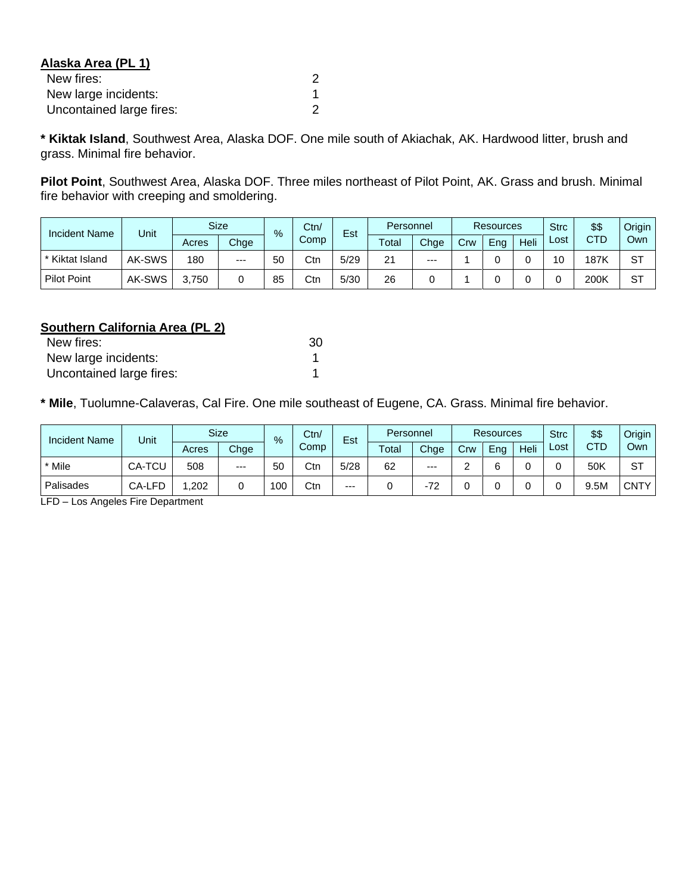| Alaska Area (PL 1)       |   |
|--------------------------|---|
| New fires:               | 2 |
| New large incidents:     |   |
| Uncontained large fires: | 2 |

**\* Kiktak Island**, Southwest Area, Alaska DOF. One mile south of Akiachak, AK. Hardwood litter, brush and grass. Minimal fire behavior.

**Pilot Point**, Southwest Area, Alaska DOF. Three miles northeast of Pilot Point, AK. Grass and brush. Minimal fire behavior with creeping and smoldering.

| <b>Incident Name</b> | Unit   | <b>Size</b><br>$\frac{9}{6}$ |       | Ctn/ | Est  |      | Personnel |       | <b>Resources</b> |     |      | \$\$ | Origin |           |
|----------------------|--------|------------------------------|-------|------|------|------|-----------|-------|------------------|-----|------|------|--------|-----------|
|                      |        | Acres                        | Chge  |      | Comp |      | Total     | Chge  | Crw              | Eng | Heli | ∟ost | CTD    | Own       |
| * Kiktat Island      | AK-SWS | 180                          | $---$ | 50   | Ctr  | 5/29 | 21        | $---$ |                  |     |      | 10   | 187K   | ST        |
| <b>Pilot Point</b>   | AK-SWS | 3.750                        |       | 85   | Ctr  | 5/30 | 26        |       |                  |     |      |      | 200K   | <b>ST</b> |

## **Southern California Area (PL 2)**

| New fires:               | 30 |
|--------------------------|----|
| New large incidents:     |    |
| Uncontained large fires: |    |

**\* Mile**, Tuolumne-Calaveras, Cal Fire. One mile southeast of Eugene, CA. Grass. Minimal fire behavior.

| <b>Incident Name</b> | Unit   |       | <b>Size</b> | $\%$ | Ctn/<br>Comp | Est   | Personnel |       | <b>Resources</b> |     | <b>Strc</b> | \$\$ | Origin     |             |
|----------------------|--------|-------|-------------|------|--------------|-------|-----------|-------|------------------|-----|-------------|------|------------|-------------|
|                      |        | Acres | Chge        |      |              |       | Total     | Chge  | Crw              | Eng | Heli        | Lost | <b>CTD</b> | Own         |
| * Mile               | CA-TCU | 508   | $--$        | 50   | Ctn          | 5/28  | 62        | $---$ |                  |     |             |      | 50K        | ST          |
| Palisades            | CA-LFD | .202  |             | 100  | Ctn          | $---$ |           | -72   |                  |     |             |      | 9.5M       | <b>CNTY</b> |

LFD – Los Angeles Fire Department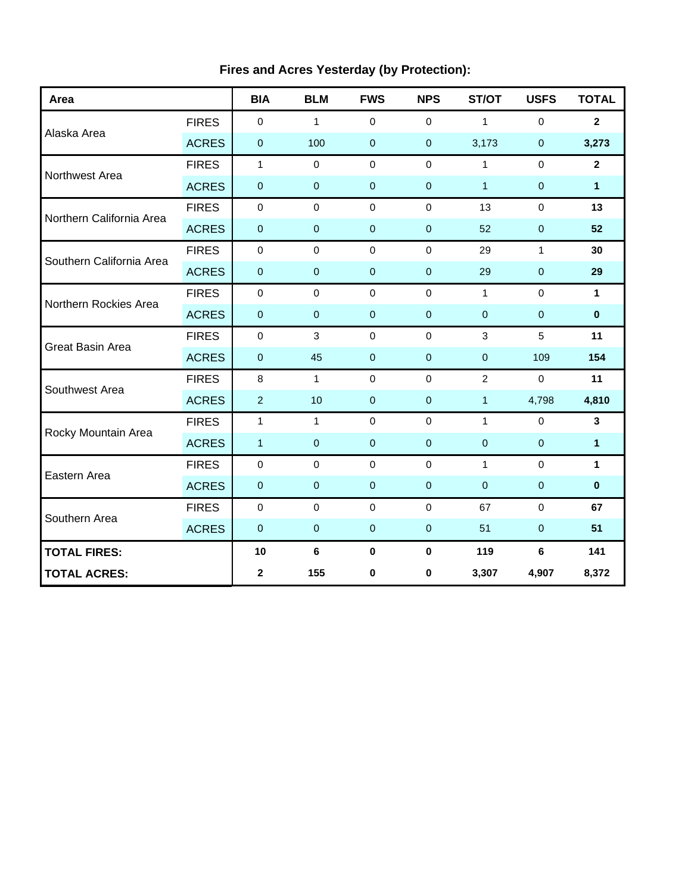| Area                     |              | <b>BIA</b>     | <b>BLM</b>     | <b>FWS</b>       | <b>NPS</b>     | ST/OT          | <b>USFS</b>  | <b>TOTAL</b> |
|--------------------------|--------------|----------------|----------------|------------------|----------------|----------------|--------------|--------------|
|                          | <b>FIRES</b> | $\mathbf 0$    | $\mathbf{1}$   | $\mathbf 0$      | $\mathbf 0$    | $\mathbf{1}$   | $\mathbf 0$  | $\mathbf{2}$ |
| Alaska Area              | <b>ACRES</b> | $\pmb{0}$      | 100            | $\pmb{0}$        | $\pmb{0}$      | 3,173          | $\pmb{0}$    | 3,273        |
|                          | <b>FIRES</b> | $\mathbf{1}$   | $\mathbf 0$    | $\mathbf 0$      | $\mathbf 0$    | $\mathbf{1}$   | $\mathbf 0$  | $\mathbf{2}$ |
| Northwest Area           | <b>ACRES</b> | $\mathbf 0$    | $\pmb{0}$      | $\pmb{0}$        | $\pmb{0}$      | $\mathbf{1}$   | $\mathbf 0$  | 1            |
| Northern California Area | <b>FIRES</b> | $\pmb{0}$      | $\mathbf 0$    | $\mathbf 0$      | $\mathbf 0$    | 13             | $\mathbf 0$  | 13           |
|                          | <b>ACRES</b> | $\pmb{0}$      | $\pmb{0}$      | $\pmb{0}$        | $\pmb{0}$      | 52             | $\pmb{0}$    | 52           |
| Southern California Area | <b>FIRES</b> | $\pmb{0}$      | $\mathbf 0$    | $\mathbf 0$      | $\mathbf 0$    | 29             | $\mathbf{1}$ | 30           |
|                          | <b>ACRES</b> | $\pmb{0}$      | $\mathbf 0$    | $\mathbf 0$      | $\mathbf{0}$   | 29             | $\mathbf 0$  | 29           |
| Northern Rockies Area    | <b>FIRES</b> | $\mathbf 0$    | $\Omega$       | $\mathbf 0$      | $\Omega$       | $\mathbf{1}$   | $\Omega$     | $\mathbf{1}$ |
|                          | <b>ACRES</b> | $\pmb{0}$      | $\pmb{0}$      | $\boldsymbol{0}$ | $\pmb{0}$      | $\pmb{0}$      | $\pmb{0}$    | $\pmb{0}$    |
| <b>Great Basin Area</b>  | <b>FIRES</b> | $\pmb{0}$      | $\mathfrak{S}$ | $\mathbf 0$      | $\mathbf 0$    | 3              | 5            | 11           |
|                          | <b>ACRES</b> | $\pmb{0}$      | 45             | $\pmb{0}$        | $\overline{0}$ | $\pmb{0}$      | 109          | 154          |
| Southwest Area           | <b>FIRES</b> | 8              | $\mathbf{1}$   | $\mathbf 0$      | $\mathbf 0$    | $\overline{2}$ | $\mathbf 0$  | 11           |
|                          | <b>ACRES</b> | $\overline{a}$ | 10             | $\mathbf{0}$     | $\mathbf{0}$   | $\mathbf{1}$   | 4,798        | 4,810        |
| Rocky Mountain Area      | <b>FIRES</b> | $\mathbf{1}$   | $\mathbf{1}$   | $\pmb{0}$        | $\mathbf 0$    | $\mathbf{1}$   | $\pmb{0}$    | $\mathbf{3}$ |
|                          | <b>ACRES</b> | $\mathbf{1}$   | $\pmb{0}$      | $\pmb{0}$        | $\pmb{0}$      | $\pmb{0}$      | $\pmb{0}$    | 1            |
|                          | <b>FIRES</b> | $\mathbf 0$    | $\mathbf 0$    | $\mathbf 0$      | $\mathbf 0$    | $\mathbf{1}$   | $\mathbf 0$  | $\mathbf{1}$ |
| Eastern Area             | <b>ACRES</b> | $\pmb{0}$      | $\mathbf 0$    | $\boldsymbol{0}$ | $\mathbf 0$    | $\mathbf{0}$   | $\pmb{0}$    | $\pmb{0}$    |
|                          | <b>FIRES</b> | $\mathbf 0$    | $\mathbf 0$    | $\mathbf 0$      | $\Omega$       | 67             | $\mathbf 0$  | 67           |
| Southern Area            | <b>ACRES</b> | $\mathbf 0$    | $\mathbf 0$    | $\mathbf 0$      | $\overline{0}$ | 51             | $\mathbf 0$  | 51           |
| <b>TOTAL FIRES:</b>      |              | 10             | $\bf 6$        | $\pmb{0}$        | $\mathbf 0$    | 119            | $\bf 6$      | 141          |
| <b>TOTAL ACRES:</b>      |              | $\mathbf 2$    | 155            | 0                | 0              | 3,307          | 4,907        | 8,372        |

# **Fires and Acres Yesterday (by Protection):**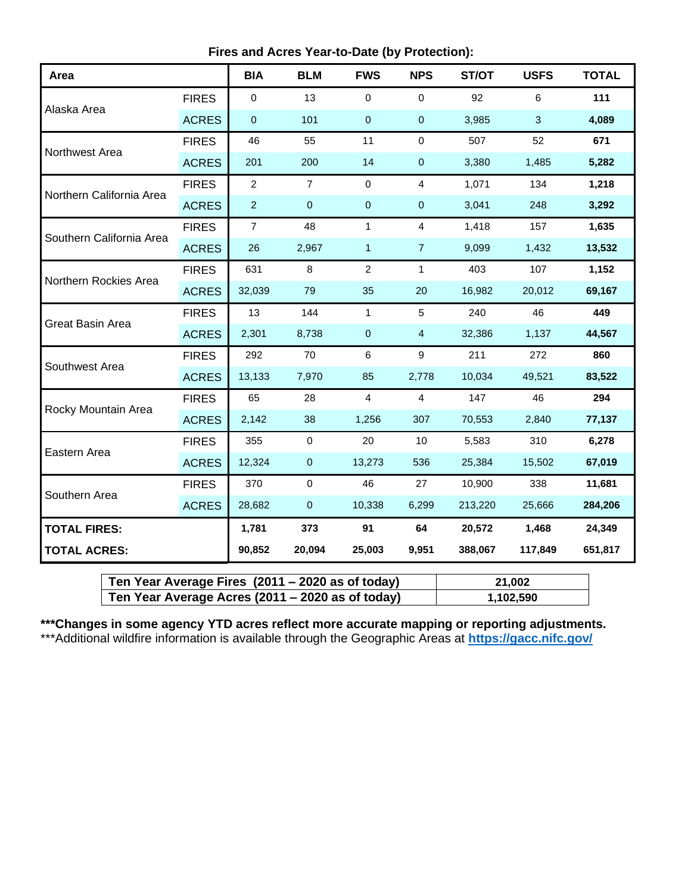| Area                     |              | <b>BIA</b>     | <b>BLM</b>     | <b>FWS</b>     | <b>NPS</b>      | ST/OT   | <b>USFS</b> | <b>TOTAL</b> |
|--------------------------|--------------|----------------|----------------|----------------|-----------------|---------|-------------|--------------|
|                          | <b>FIRES</b> | 0              | 13             | $\mathbf 0$    | $\mathbf 0$     | 92      | 6           | 111          |
| Alaska Area              | <b>ACRES</b> | 0              | 101            | $\pmb{0}$      | $\pmb{0}$       | 3,985   | 3           | 4,089        |
| Northwest Area           | <b>FIRES</b> | 46             | 55             | 11             | $\mathbf 0$     | 507     | 52          | 671          |
|                          | <b>ACRES</b> | 201            | 200            | 14             | $\mathbf 0$     | 3,380   | 1,485       | 5,282        |
| Northern California Area | <b>FIRES</b> | $\overline{c}$ | $\overline{7}$ | $\mathbf 0$    | 4               | 1,071   | 134         | 1,218        |
|                          | <b>ACRES</b> | $\overline{2}$ | $\pmb{0}$      | $\mathbf 0$    | $\pmb{0}$       | 3,041   | 248         | 3,292        |
|                          | <b>FIRES</b> | $\overline{7}$ | 48             | $\mathbf{1}$   | $\overline{4}$  | 1,418   | 157         | 1,635        |
| Southern California Area | <b>ACRES</b> | 26             | 2,967          | $\mathbf{1}$   | $\overline{7}$  | 9,099   | 1,432       | 13,532       |
| Northern Rockies Area    | <b>FIRES</b> | 631            | 8              | $\overline{2}$ | $\mathbf{1}$    | 403     | 107         | 1,152        |
|                          | <b>ACRES</b> | 32,039         | 79             | 35             | 20              | 16,982  | 20,012      | 69,167       |
| Great Basin Area         | <b>FIRES</b> | 13             | 144            | $\mathbf{1}$   | $5\phantom{.0}$ | 240     | 46          | 449          |
|                          | <b>ACRES</b> | 2,301          | 8,738          | $\pmb{0}$      | $\overline{4}$  | 32,386  | 1,137       | 44,567       |
| Southwest Area           | <b>FIRES</b> | 292            | 70             | 6              | 9               | 211     | 272         | 860          |
|                          | <b>ACRES</b> | 13,133         | 7,970          | 85             | 2,778           | 10,034  | 49,521      | 83,522       |
| Rocky Mountain Area      | <b>FIRES</b> | 65             | 28             | $\overline{4}$ | $\overline{4}$  | 147     | 46          | 294          |
|                          | <b>ACRES</b> | 2,142          | 38             | 1,256          | 307             | 70,553  | 2,840       | 77,137       |
|                          | <b>FIRES</b> | 355            | $\mathbf 0$    | 20             | 10              | 5,583   | 310         | 6,278        |
| Eastern Area             | <b>ACRES</b> | 12,324         | $\pmb{0}$      | 13,273         | 536             | 25,384  | 15,502      | 67,019       |
|                          | <b>FIRES</b> | 370            | $\mathsf 0$    | 46             | 27              | 10,900  | 338         | 11,681       |
| Southern Area            | <b>ACRES</b> | 28,682         | $\pmb{0}$      | 10,338         | 6,299           | 213,220 | 25,666      | 284,206      |
| <b>TOTAL FIRES:</b>      |              | 1,781          | 373            | 91             | 64              | 20,572  | 1,468       | 24,349       |
| <b>TOTAL ACRES:</b>      |              | 90,852         | 20,094         | 25,003         | 9,951           | 388,067 | 117,849     | 651,817      |

| Ten Year Average Fires (2011 – 2020 as of today) | 21,002    |
|--------------------------------------------------|-----------|
| Ten Year Average Acres (2011 – 2020 as of today) | 1,102,590 |

**\*\*\*Changes in some agency YTD acres reflect more accurate mapping or reporting adjustments.** \*\*\*Additional wildfire information is available through the Geographic Areas at **<https://gacc.nifc.gov/>**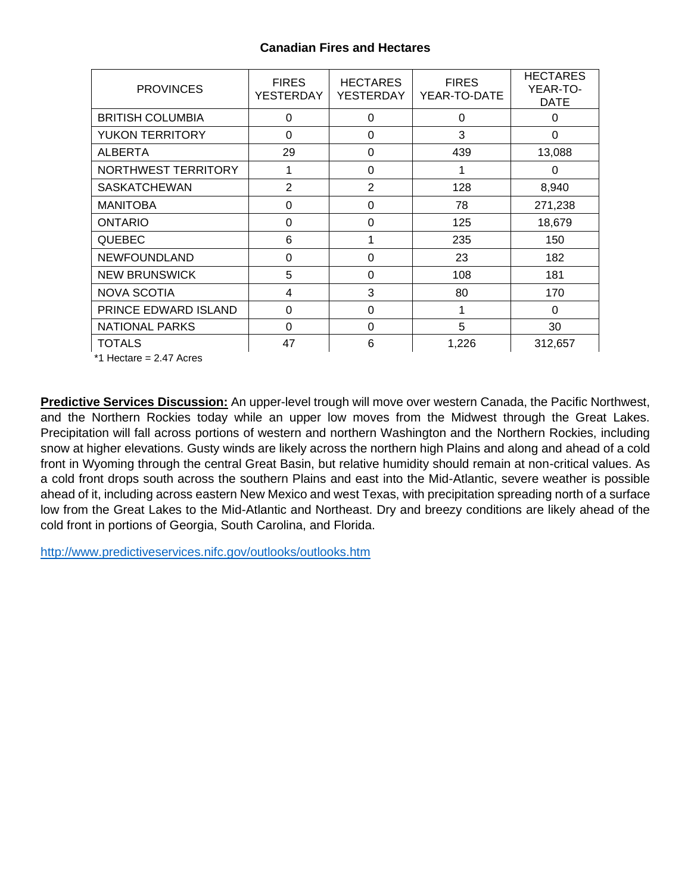# **Canadian Fires and Hectares**

| <b>PROVINCES</b>        | <b>FIRES</b><br>YESTERDAY | <b>HECTARES</b><br>YESTERDAY | <b>FIRES</b><br>YEAR-TO-DATE | <b>HECTARES</b><br>YEAR-TO-<br><b>DATE</b> |
|-------------------------|---------------------------|------------------------------|------------------------------|--------------------------------------------|
| <b>BRITISH COLUMBIA</b> | 0                         | 0                            | 0                            | 0                                          |
| <b>YUKON TERRITORY</b>  | 0                         | 0                            | 3                            | 0                                          |
| <b>ALBERTA</b>          | 29                        | 0                            | 439                          | 13,088                                     |
| NORTHWEST TERRITORY     | 1                         | 0                            | 1                            | $\Omega$                                   |
| <b>SASKATCHEWAN</b>     | $\overline{2}$            | $\overline{2}$               | 128                          | 8,940                                      |
| <b>MANITOBA</b>         | 0                         | 0                            | 78                           | 271,238                                    |
| <b>ONTARIO</b>          | 0                         | 0                            | 125                          | 18,679                                     |
| <b>QUEBEC</b>           | 6                         |                              | 235                          | 150                                        |
| <b>NEWFOUNDLAND</b>     | 0                         | 0                            | 23                           | 182                                        |
| <b>NEW BRUNSWICK</b>    | 5                         | $\Omega$                     | 108                          | 181                                        |
| <b>NOVA SCOTIA</b>      | 4                         | 3                            | 80                           | 170                                        |
| PRINCE EDWARD ISLAND    | 0                         | 0                            | 1                            | 0                                          |
| <b>NATIONAL PARKS</b>   | 0                         | 0                            | 5                            | 30                                         |
| <b>TOTALS</b>           | 47                        | 6                            | 1,226                        | 312,657                                    |

\*1 Hectare = 2.47 Acres

**Predictive Services Discussion:** An upper-level trough will move over western Canada, the Pacific Northwest, and the Northern Rockies today while an upper low moves from the Midwest through the Great Lakes. Precipitation will fall across portions of western and northern Washington and the Northern Rockies, including snow at higher elevations. Gusty winds are likely across the northern high Plains and along and ahead of a cold front in Wyoming through the central Great Basin, but relative humidity should remain at non-critical values. As a cold front drops south across the southern Plains and east into the Mid-Atlantic, severe weather is possible ahead of it, including across eastern New Mexico and west Texas, with precipitation spreading north of a surface low from the Great Lakes to the Mid-Atlantic and Northeast. Dry and breezy conditions are likely ahead of the cold front in portions of Georgia, South Carolina, and Florida.

<http://www.predictiveservices.nifc.gov/outlooks/outlooks.htm>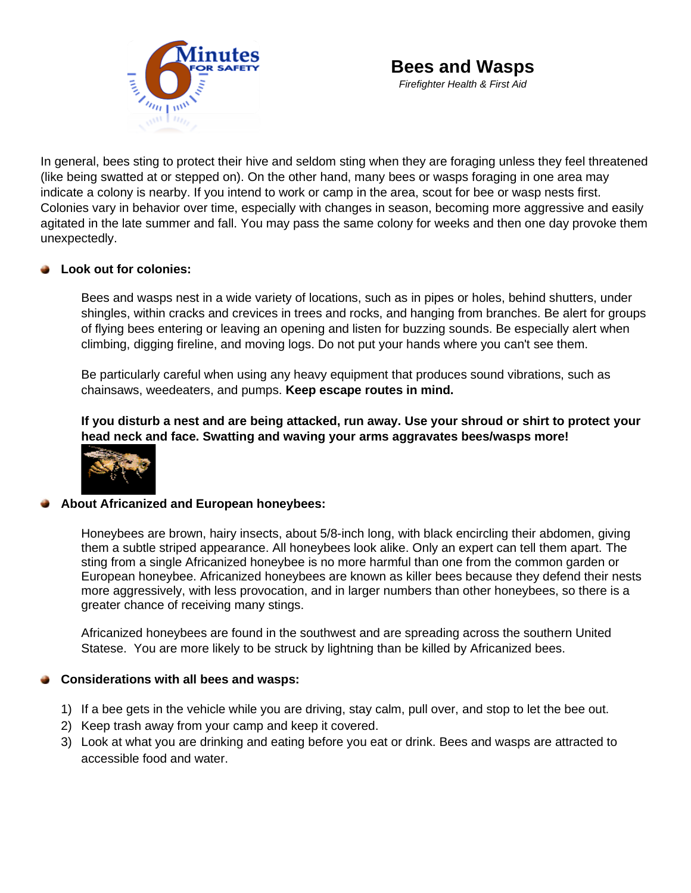

*Firefighter Health & First Aid*

In general, bee[s sting to protect their hiv](http://www.wildfirelessons.net/6minutesforsafety)e and seldom sting when they are foraging unless they feel threatened (like being swatted at or stepped on). On the other hand, many bees or wasps foraging in one area may indicate a colony is nearby. If you intend to work or camp in the area, scout for bee or wasp nests first. Colonies vary in behavior over time, especially with changes in season, becoming more aggressive and easily agitated in the late summer and fall. You may pass the same colony for weeks and then one day provoke them unexpectedly.

# **Look out for colonies:**

Bees and wasps nest in a wide variety of locations, such as in pipes or holes, behind shutters, under shingles, within cracks and crevices in trees and rocks, and hanging from branches. Be alert for groups of flying bees entering or leaving an opening and listen for buzzing sounds. Be especially alert when climbing, digging fireline, and moving logs. Do not put your hands where you can't see them.

Be particularly careful when using any heavy equipment that produces sound vibrations, such as chainsaws, weedeaters, and pumps. **Keep escape routes in mind.** 

**If you disturb a nest and are being attacked, run away. Use your shroud or shirt to protect your head neck and face. Swatting and waving your arms aggravates bees/wasps more!**



# **About Africanized and European honeybees:**

Honeybees are brown, hairy insects, about 5/8-inch long, with black encircling their abdomen, giving them a subtle striped appearance. All honeybees look alike. Only an expert can tell them apart. The sting from a single Africanized honeybee is no more harmful than one from the common garden or European honeybee. Africanized honeybees are known as killer bees because they defend their nests more aggressively, with less provocation, and in larger numbers than other honeybees, so there is a greater chance of receiving many stings.

Africanized honeybees are found in the southwest and are spreading across the southern United Statese. You are more likely to be struck by lightning than be killed by Africanized bees.

# **Considerations with all bees and wasps:**

- 1) If a bee gets in the vehicle while you are driving, stay calm, pull over, and stop to let the bee out.
- 2) Keep trash away from your camp and keep it covered.
- 3) Look at what you are drinking and eating before you eat or drink. Bees and wasps are attracted to accessible food and water.